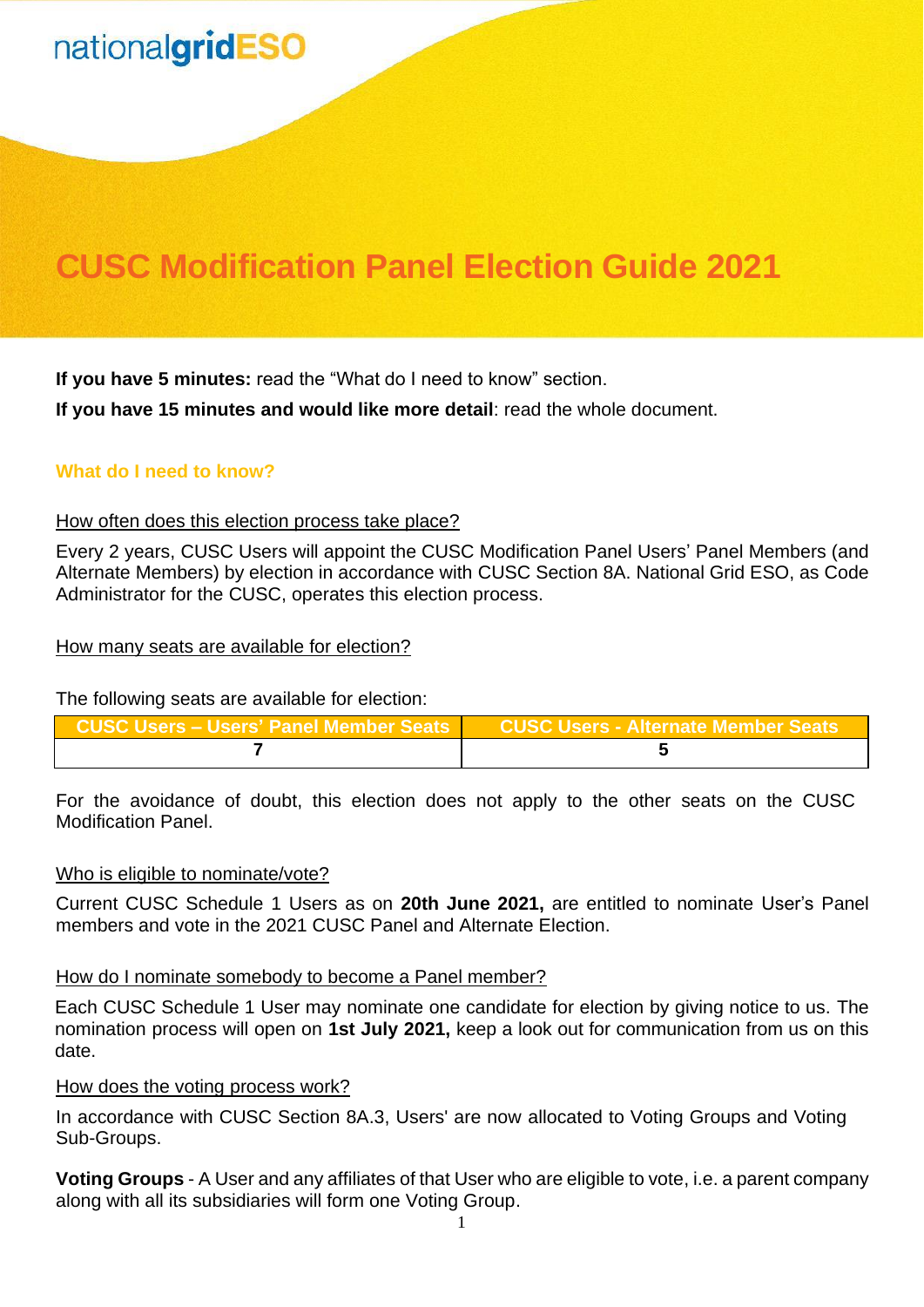## **CUSC Modification Panel Election Guide 2021**

**If you have 5 minutes:** read the "What do I need to know" section.

**If you have 15 minutes and would like more detail**: read the whole document.

## **What do I need to know?**

#### How often does this election process take place?

Every 2 years, CUSC Users will appoint the CUSC Modification Panel Users' Panel Members (and Alternate Members) by election in accordance with CUSC Section 8A. National Grid ESO, as Code Administrator for the CUSC, operates this election process.

#### How many seats are available for election?

The following seats are available for election:

| CUSC Users – Users' Panel Member Seats CUSC Users - Alternate Member Seats |  |
|----------------------------------------------------------------------------|--|
|                                                                            |  |

For the avoidance of doubt, this election does not apply to the other seats on the CUSC Modification Panel.

### Who is eligible to nominate/vote?

Current CUSC Schedule 1 Users as on **20th June 2021,** are entitled to nominate User's Panel members and vote in the 2021 CUSC Panel and Alternate Election.

#### How do I nominate somebody to become a Panel member?

Each CUSC Schedule 1 User may nominate one candidate for election by giving notice to us. The nomination process will open on **1st July 2021,** keep a look out for communication from us on this date.

#### How does the voting process work?

In accordance with CUSC Section 8A.3, Users' are now allocated to Voting Groups and Voting Sub-Groups.

**Voting Groups** - A User and any affiliates of that User who are eligible to vote, i.e. a parent company along with all its subsidiaries will form one Voting Group.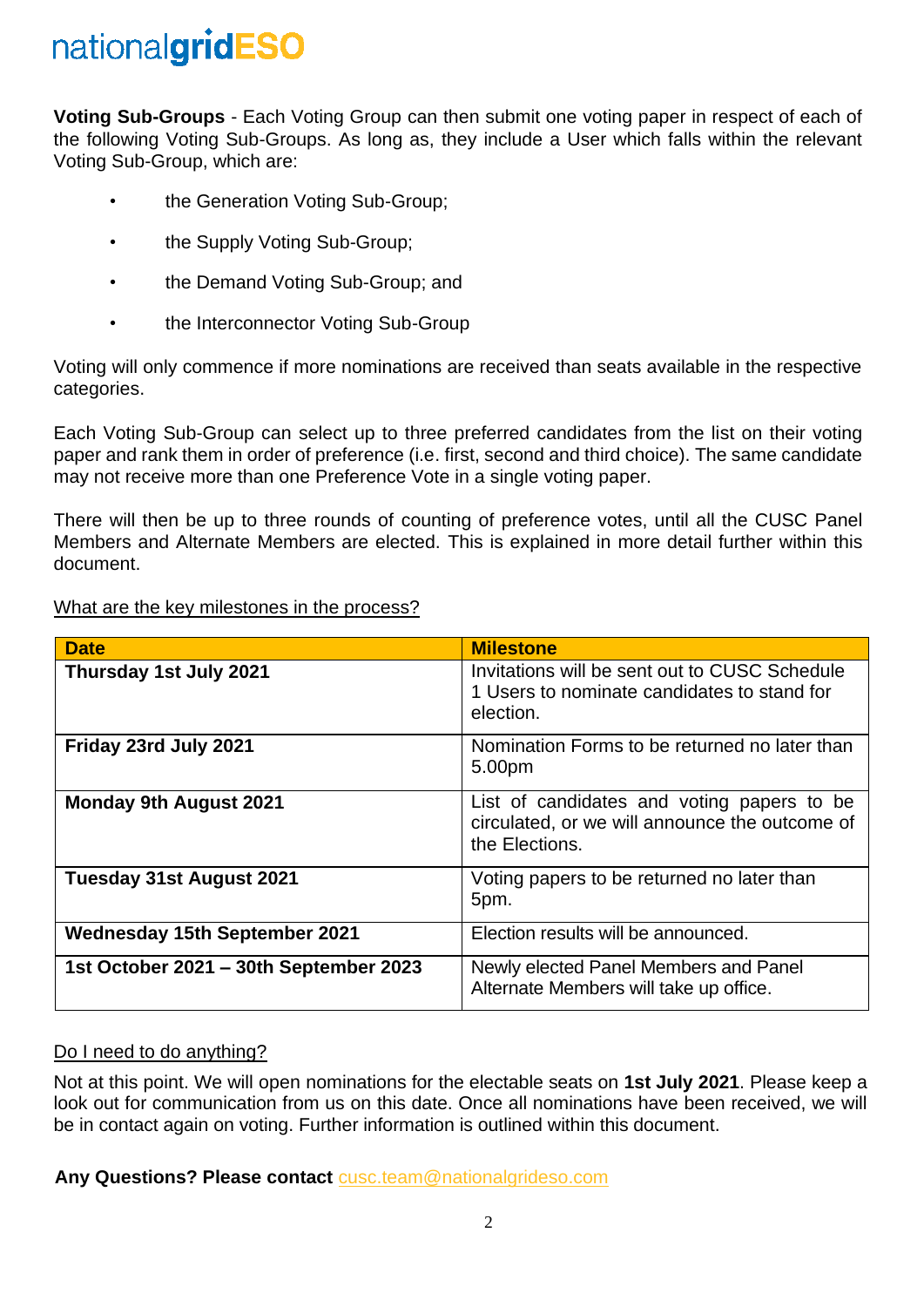**Voting Sub-Groups** - Each Voting Group can then submit one voting paper in respect of each of the following Voting Sub-Groups. As long as, they include a User which falls within the relevant Voting Sub-Group, which are:

- the Generation Voting Sub-Group;
- the Supply Voting Sub-Group;
- the Demand Voting Sub-Group; and
- the Interconnector Voting Sub-Group

Voting will only commence if more nominations are received than seats available in the respective categories.

Each Voting Sub-Group can select up to three preferred candidates from the list on their voting paper and rank them in order of preference (i.e. first, second and third choice). The same candidate may not receive more than one Preference Vote in a single voting paper.

There will then be up to three rounds of counting of preference votes, until all the CUSC Panel Members and Alternate Members are elected. This is explained in more detail further within this document.

|--|

| <b>Date</b>                            | <b>Milestone</b>                                                                                               |
|----------------------------------------|----------------------------------------------------------------------------------------------------------------|
| Thursday 1st July 2021                 | Invitations will be sent out to CUSC Schedule<br>1 Users to nominate candidates to stand for<br>election.      |
| Friday 23rd July 2021                  | Nomination Forms to be returned no later than<br>5.00pm                                                        |
| <b>Monday 9th August 2021</b>          | List of candidates and voting papers to be<br>circulated, or we will announce the outcome of<br>the Elections. |
| Tuesday 31st August 2021               | Voting papers to be returned no later than<br>5pm.                                                             |
| <b>Wednesday 15th September 2021</b>   | Election results will be announced.                                                                            |
| 1st October 2021 - 30th September 2023 | Newly elected Panel Members and Panel<br>Alternate Members will take up office.                                |

### Do I need to do anything?

Not at this point. We will open nominations for the electable seats on **1st July 2021**. Please keep a look out for communication from us on this date. Once all nominations have been received, we will be in contact again on voting. Further information is outlined within this document.

**Any Questions? Please contact** [cusc.team@nationalgrideso.com](mailto:cusc.team@nationalgrideso.com)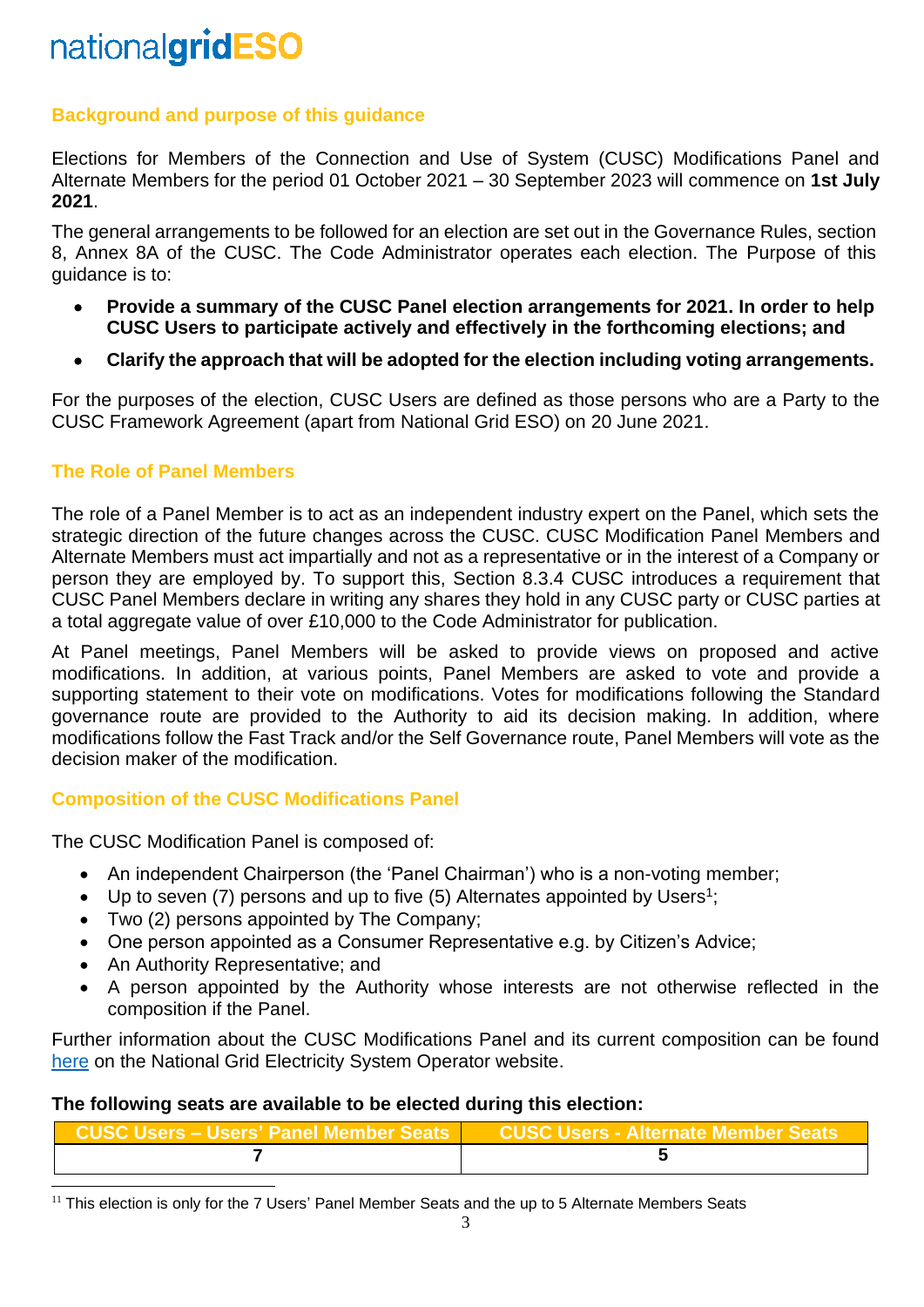## **Background and purpose of this guidance**

Elections for Members of the Connection and Use of System (CUSC) Modifications Panel and Alternate Members for the period 01 October 2021 – 30 September 2023 will commence on **1st July 2021**.

The general arrangements to be followed for an election are set out in the Governance Rules, section 8, Annex 8A of the CUSC. The Code Administrator operates each election. The Purpose of this guidance is to:

- **Provide a summary of the CUSC Panel election arrangements for 2021. In order to help CUSC Users to participate actively and effectively in the forthcoming elections; and**
- **Clarify the approach that will be adopted for the election including voting arrangements.**

For the purposes of the election, CUSC Users are defined as those persons who are a Party to the CUSC Framework Agreement (apart from National Grid ESO) on 20 June 2021.

## **The Role of Panel Members**

The role of a Panel Member is to act as an independent industry expert on the Panel, which sets the strategic direction of the future changes across the CUSC. CUSC Modification Panel Members and Alternate Members must act impartially and not as a representative or in the interest of a Company or person they are employed by. To support this, Section 8.3.4 CUSC introduces a requirement that CUSC Panel Members declare in writing any shares they hold in any CUSC party or CUSC parties at a total aggregate value of over £10,000 to the Code Administrator for publication.

At Panel meetings, Panel Members will be asked to provide views on proposed and active modifications. In addition, at various points, Panel Members are asked to vote and provide a supporting statement to their vote on modifications. Votes for modifications following the Standard governance route are provided to the Authority to aid its decision making. In addition, where modifications follow the Fast Track and/or the Self Governance route, Panel Members will vote as the decision maker of the modification.

## **Composition of the CUSC Modifications Panel**

The CUSC Modification Panel is composed of:

- An independent Chairperson (the 'Panel Chairman') who is a non-voting member;
- Up to seven (7) persons and up to five (5) Alternates appointed by Users<sup>1</sup>;
- Two (2) persons appointed by The Company;
- One person appointed as a Consumer Representative e.g. by Citizen's Advice;
- An Authority Representative; and
- A person appointed by the Authority whose interests are not otherwise reflected in the composition if the Panel.

Further information about the CUSC Modifications Panel and its current composition can be found [here](https://www.nationalgrideso.com/industry-information/codes/connection-and-use-system-code-cusc/panel-meeting-documents) on the National Grid Electricity System Operator website.

### **The following seats are available to be elected during this election:**

| │   CUSC Users – Users' Panel Member Seats │      CUSC Users - Alternate Member Seats 。 |  |
|-----------------------------------------------------------------------------------------|--|
|                                                                                         |  |

 $<sup>11</sup>$  This election is only for the 7 Users' Panel Member Seats and the up to 5 Alternate Members Seats</sup>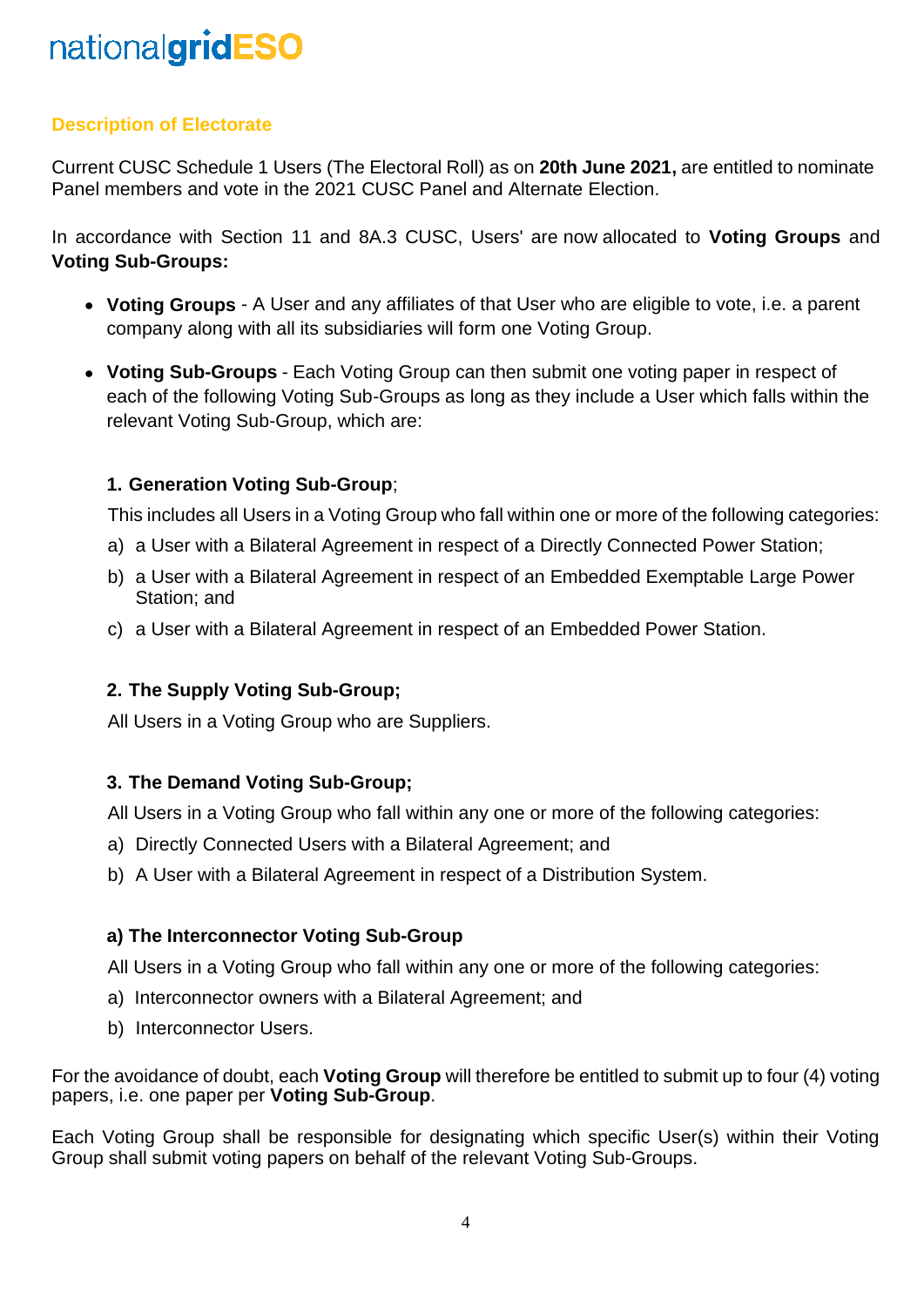## **Description of Electorate**

Current CUSC Schedule 1 Users (The Electoral Roll) as on **20th June 2021,** are entitled to nominate Panel members and vote in the 2021 CUSC Panel and Alternate Election.

In accordance with Section 11 and 8A.3 CUSC, Users' are now allocated to **Voting Groups** and **Voting Sub-Groups:**

- **Voting Groups** A User and any affiliates of that User who are eligible to vote, i.e. a parent company along with all its subsidiaries will form one Voting Group.
- **Voting Sub-Groups** Each Voting Group can then submit one voting paper in respect of each of the following Voting Sub-Groups as long as they include a User which falls within the relevant Voting Sub-Group, which are:

### **1. Generation Voting Sub-Group**;

This includes all Users in a Voting Group who fall within one or more of the following categories:

- a) a User with a Bilateral Agreement in respect of a Directly Connected Power Station;
- b) a User with a Bilateral Agreement in respect of an Embedded Exemptable Large Power Station; and
- c) a User with a Bilateral Agreement in respect of an Embedded Power Station.

### **2. The Supply Voting Sub-Group;**

All Users in a Voting Group who are Suppliers.

### **3. The Demand Voting Sub-Group;**

All Users in a Voting Group who fall within any one or more of the following categories:

- a) Directly Connected Users with a Bilateral Agreement; and
- b) A User with a Bilateral Agreement in respect of a Distribution System.

### **a) The Interconnector Voting Sub-Group**

All Users in a Voting Group who fall within any one or more of the following categories:

- a) Interconnector owners with a Bilateral Agreement; and
- b) Interconnector Users.

For the avoidance of doubt, each **Voting Group** will therefore be entitled to submit up to four (4) voting papers, i.e. one paper per **Voting Sub-Group**.

Each Voting Group shall be responsible for designating which specific User(s) within their Voting Group shall submit voting papers on behalf of the relevant Voting Sub-Groups.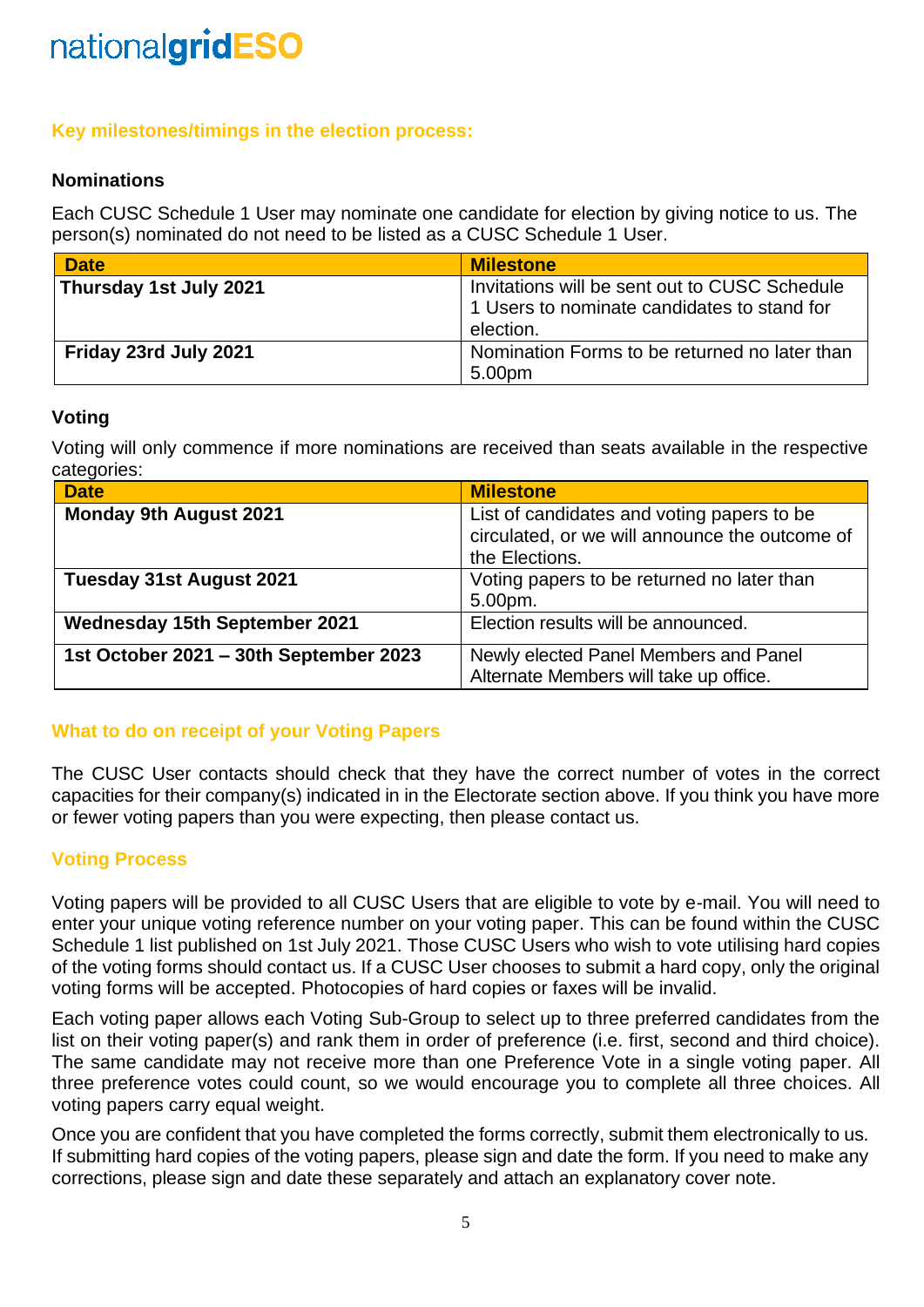## **Key milestones/timings in the election process:**

## **Nominations**

Each CUSC Schedule 1 User may nominate one candidate for election by giving notice to us. The person(s) nominated do not need to be listed as a CUSC Schedule 1 User.

| <b>Date</b>            | <b>Milestone</b>                                                                                          |
|------------------------|-----------------------------------------------------------------------------------------------------------|
| Thursday 1st July 2021 | Invitations will be sent out to CUSC Schedule<br>1 Users to nominate candidates to stand for<br>election. |
| Friday 23rd July 2021  | Nomination Forms to be returned no later than<br>5.00pm                                                   |

### **Voting**

Voting will only commence if more nominations are received than seats available in the respective categories:

| <b>Date</b>                            | <b>Milestone</b>                               |
|----------------------------------------|------------------------------------------------|
| <b>Monday 9th August 2021</b>          | List of candidates and voting papers to be     |
|                                        | circulated, or we will announce the outcome of |
|                                        | the Elections.                                 |
| <b>Tuesday 31st August 2021</b>        | Voting papers to be returned no later than     |
|                                        | 5.00pm.                                        |
| <b>Wednesday 15th September 2021</b>   | Election results will be announced.            |
| 1st October 2021 - 30th September 2023 | Newly elected Panel Members and Panel          |
|                                        | Alternate Members will take up office.         |

## **What to do on receipt of your Voting Papers**

The CUSC User contacts should check that they have the correct number of votes in the correct capacities for their company(s) indicated in in the Electorate section above. If you think you have more or fewer voting papers than you were expecting, then please contact us.

## **Voting Process**

Voting papers will be provided to all CUSC Users that are eligible to vote by e-mail. You will need to enter your unique voting reference number on your voting paper. This can be found within the CUSC Schedule 1 list published on 1st July 2021. Those CUSC Users who wish to vote utilising hard copies of the voting forms should contact us. If a CUSC User chooses to submit a hard copy, only the original voting forms will be accepted. Photocopies of hard copies or faxes will be invalid.

Each voting paper allows each Voting Sub-Group to select up to three preferred candidates from the list on their voting paper(s) and rank them in order of preference (i.e. first, second and third choice). The same candidate may not receive more than one Preference Vote in a single voting paper. All three preference votes could count, so we would encourage you to complete all three choices. All voting papers carry equal weight.

Once you are confident that you have completed the forms correctly, submit them electronically to us. If submitting hard copies of the voting papers, please sign and date the form. If you need to make any corrections, please sign and date these separately and attach an explanatory cover note.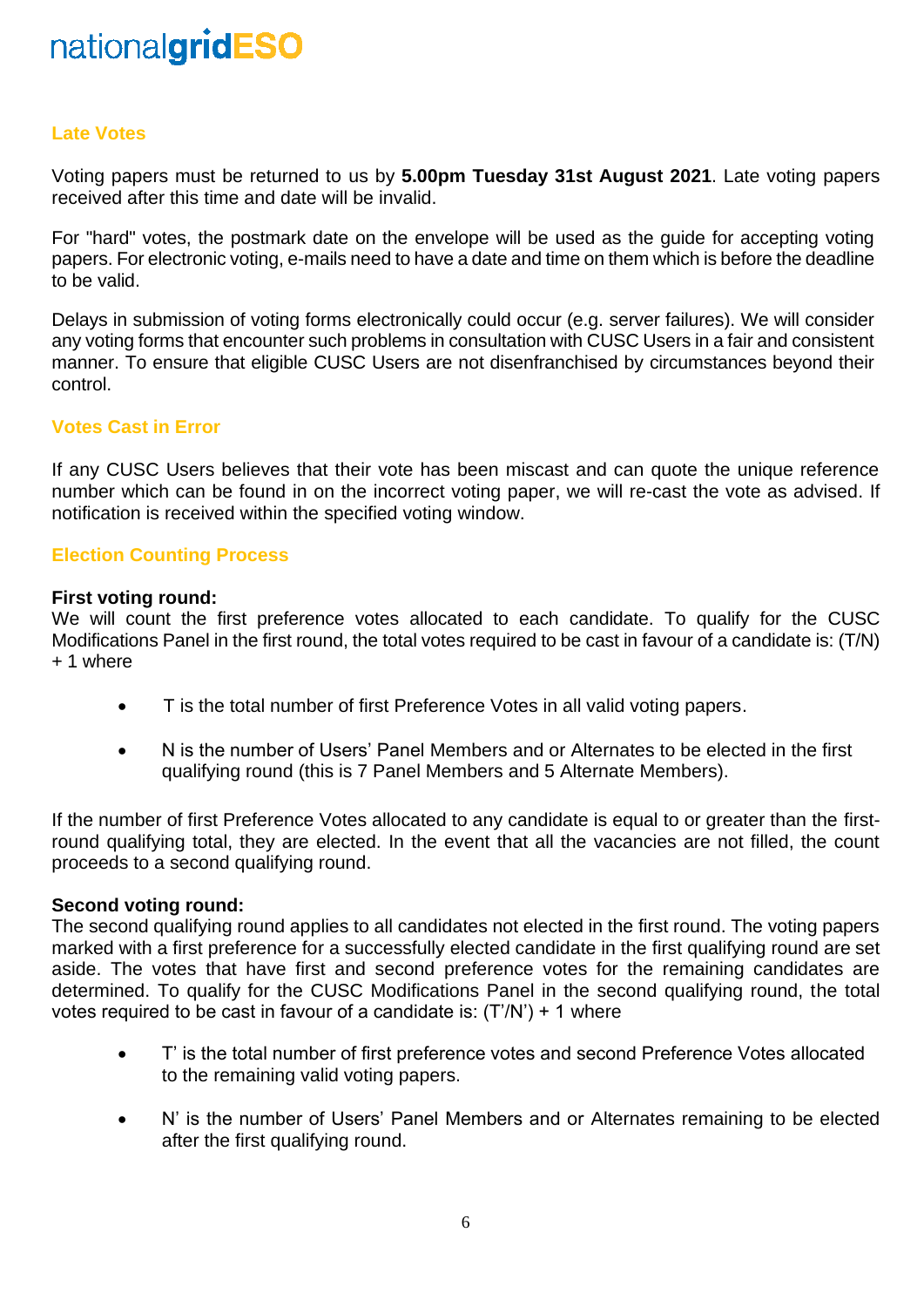### **Late Votes**

Voting papers must be returned to us by **5.00pm Tuesday 31st August 2021**. Late voting papers received after this time and date will be invalid.

For "hard" votes, the postmark date on the envelope will be used as the guide for accepting voting papers. For electronic voting, e-mails need to have a date and time on them which is before the deadline to be valid.

Delays in submission of voting forms electronically could occur (e.g. server failures). We will consider any voting forms that encounter such problems in consultation with CUSC Users in a fair and consistent manner. To ensure that eligible CUSC Users are not disenfranchised by circumstances beyond their control.

### **Votes Cast in Error**

If any CUSC Users believes that their vote has been miscast and can quote the unique reference number which can be found in on the incorrect voting paper, we will re-cast the vote as advised. If notification is received within the specified voting window.

#### **Election Counting Process**

#### **First voting round:**

We will count the first preference votes allocated to each candidate. To qualify for the CUSC Modifications Panel in the first round, the total votes required to be cast in favour of a candidate is: (T/N) + 1 where

- T is the total number of first Preference Votes in all valid voting papers.
- N is the number of Users' Panel Members and or Alternates to be elected in the first qualifying round (this is 7 Panel Members and 5 Alternate Members).

If the number of first Preference Votes allocated to any candidate is equal to or greater than the firstround qualifying total, they are elected. In the event that all the vacancies are not filled, the count proceeds to a second qualifying round.

#### **Second voting round:**

The second qualifying round applies to all candidates not elected in the first round. The voting papers marked with a first preference for a successfully elected candidate in the first qualifying round are set aside. The votes that have first and second preference votes for the remaining candidates are determined. To qualify for the CUSC Modifications Panel in the second qualifying round, the total votes required to be cast in favour of a candidate is:  $(T/N') + 1$  where

- T' is the total number of first preference votes and second Preference Votes allocated to the remaining valid voting papers.
- N' is the number of Users' Panel Members and or Alternates remaining to be elected after the first qualifying round.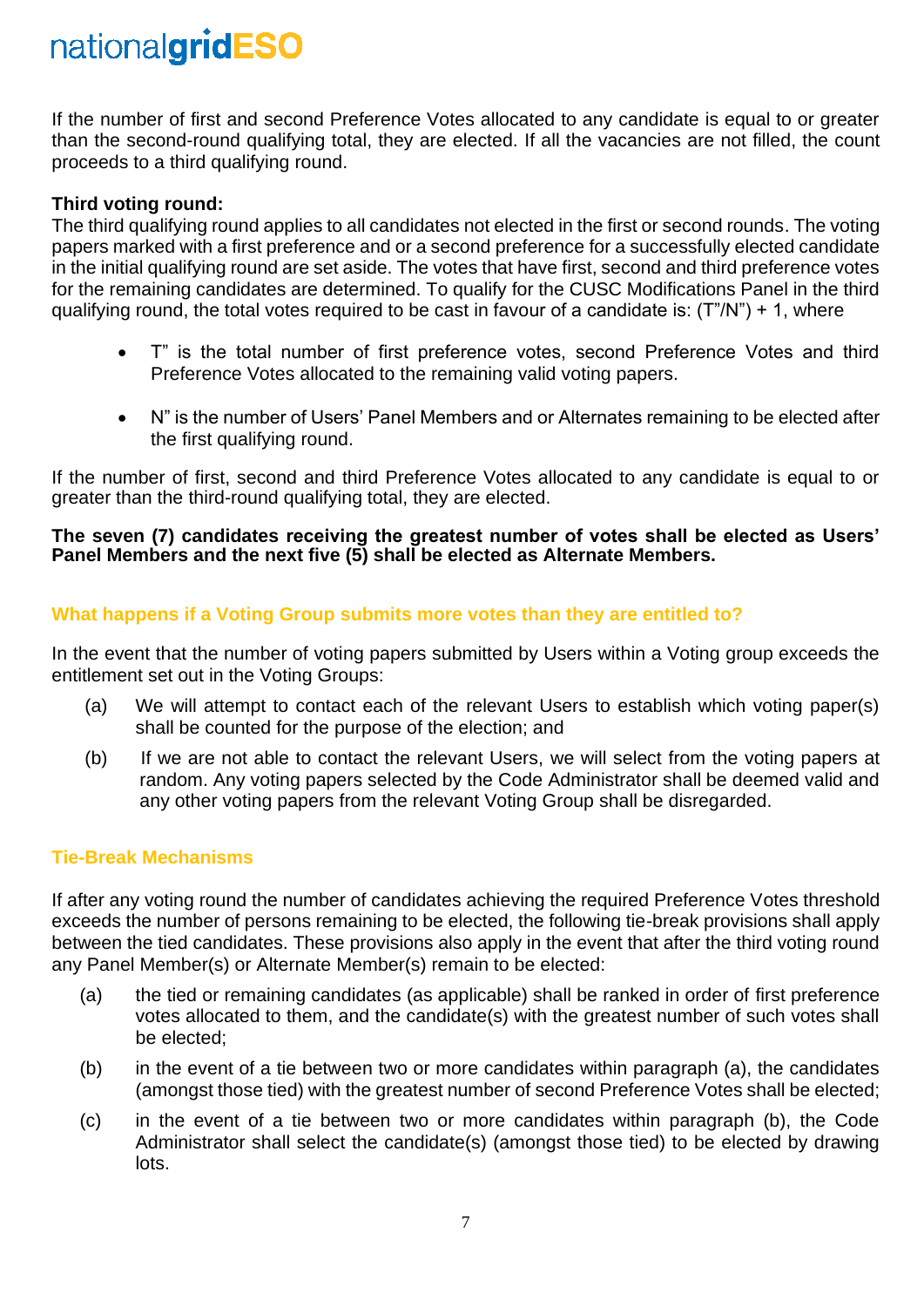If the number of first and second Preference Votes allocated to any candidate is equal to or greater than the second-round qualifying total, they are elected. If all the vacancies are not filled, the count proceeds to a third qualifying round.

## **Third voting round:**

The third qualifying round applies to all candidates not elected in the first or second rounds. The voting papers marked with a first preference and or a second preference for a successfully elected candidate in the initial qualifying round are set aside. The votes that have first, second and third preference votes for the remaining candidates are determined. To qualify for the CUSC Modifications Panel in the third qualifying round, the total votes required to be cast in favour of a candidate is:  $(T''/N'') + 1$ , where

- T" is the total number of first preference votes, second Preference Votes and third Preference Votes allocated to the remaining valid voting papers.
- N" is the number of Users' Panel Members and or Alternates remaining to be elected after the first qualifying round.

If the number of first, second and third Preference Votes allocated to any candidate is equal to or greater than the third-round qualifying total, they are elected.

#### **The seven (7) candidates receiving the greatest number of votes shall be elected as Users' Panel Members and the next five (5) shall be elected as Alternate Members.**

## **What happens if a Voting Group submits more votes than they are entitled to?**

In the event that the number of voting papers submitted by Users within a Voting group exceeds the entitlement set out in the Voting Groups:

- (a) We will attempt to contact each of the relevant Users to establish which voting paper(s) shall be counted for the purpose of the election; and
- (b) If we are not able to contact the relevant Users, we will select from the voting papers at random. Any voting papers selected by the Code Administrator shall be deemed valid and any other voting papers from the relevant Voting Group shall be disregarded.

### **Tie-Break Mechanisms**

If after any voting round the number of candidates achieving the required Preference Votes threshold exceeds the number of persons remaining to be elected, the following tie-break provisions shall apply between the tied candidates. These provisions also apply in the event that after the third voting round any Panel Member(s) or Alternate Member(s) remain to be elected:

- (a) the tied or remaining candidates (as applicable) shall be ranked in order of first preference votes allocated to them, and the candidate(s) with the greatest number of such votes shall be elected;
- (b) in the event of a tie between two or more candidates within paragraph (a), the candidates (amongst those tied) with the greatest number of second Preference Votes shall be elected;
- (c) in the event of a tie between two or more candidates within paragraph (b), the Code Administrator shall select the candidate(s) (amongst those tied) to be elected by drawing lots.